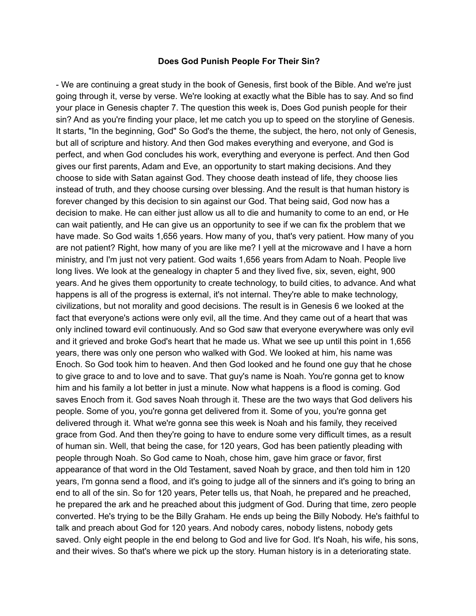#### **Does God Punish People For Their Sin?**

- We are continuing a great study in the book of Genesis, first book of the Bible. And we're just going through it, verse by verse. We're looking at exactly what the Bible has to say. And so find your place in Genesis chapter 7. The question this week is, Does God punish people for their sin? And as you're finding your place, let me catch you up to speed on the storyline of Genesis. It starts, "In the beginning, God" So God's the theme, the subject, the hero, not only of Genesis, but all of scripture and history. And then God makes everything and everyone, and God is perfect, and when God concludes his work, everything and everyone is perfect. And then God gives our first parents, Adam and Eve, an opportunity to start making decisions. And they choose to side with Satan against God. They choose death instead of life, they choose lies instead of truth, and they choose cursing over blessing. And the result is that human history is forever changed by this decision to sin against our God. That being said, God now has a decision to make. He can either just allow us all to die and humanity to come to an end, or He can wait patiently, and He can give us an opportunity to see if we can fix the problem that we have made. So God waits 1,656 years. How many of you, that's very patient. How many of you are not patient? Right, how many of you are like me? I yell at the microwave and I have a horn ministry, and I'm just not very patient. God waits 1,656 years from Adam to Noah. People live long lives. We look at the genealogy in chapter 5 and they lived five, six, seven, eight, 900 years. And he gives them opportunity to create technology, to build cities, to advance. And what happens is all of the progress is external, it's not internal. They're able to make technology, civilizations, but not morality and good decisions. The result is in Genesis 6 we looked at the fact that everyone's actions were only evil, all the time. And they came out of a heart that was only inclined toward evil continuously. And so God saw that everyone everywhere was only evil and it grieved and broke God's heart that he made us. What we see up until this point in 1,656 years, there was only one person who walked with God. We looked at him, his name was Enoch. So God took him to heaven. And then God looked and he found one guy that he chose to give grace to and to love and to save. That guy's name is Noah. You're gonna get to know him and his family a lot better in just a minute. Now what happens is a flood is coming. God saves Enoch from it. God saves Noah through it. These are the two ways that God delivers his people. Some of you, you're gonna get delivered from it. Some of you, you're gonna get delivered through it. What we're gonna see this week is Noah and his family, they received grace from God. And then they're going to have to endure some very difficult times, as a result of human sin. Well, that being the case, for 120 years, God has been patiently pleading with people through Noah. So God came to Noah, chose him, gave him grace or favor, first appearance of that word in the Old Testament, saved Noah by grace, and then told him in 120 years, I'm gonna send a flood, and it's going to judge all of the sinners and it's going to bring an end to all of the sin. So for 120 years, Peter tells us, that Noah, he prepared and he preached, he prepared the ark and he preached about this judgment of God. During that time, zero people converted. He's trying to be the Billy Graham. He ends up being the Billy Nobody. He's faithful to talk and preach about God for 120 years. And nobody cares, nobody listens, nobody gets saved. Only eight people in the end belong to God and live for God. It's Noah, his wife, his sons, and their wives. So that's where we pick up the story. Human history is in a deteriorating state.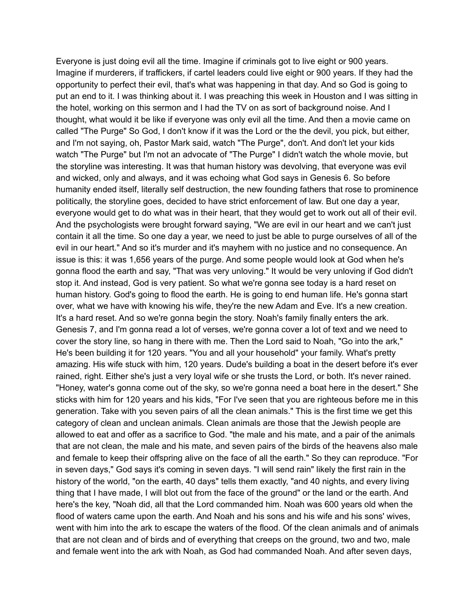Everyone is just doing evil all the time. Imagine if criminals got to live eight or 900 years. Imagine if murderers, if traffickers, if cartel leaders could live eight or 900 years. If they had the opportunity to perfect their evil, that's what was happening in that day. And so God is going to put an end to it. I was thinking about it. I was preaching this week in Houston and I was sitting in the hotel, working on this sermon and I had the TV on as sort of background noise. And I thought, what would it be like if everyone was only evil all the time. And then a movie came on called "The Purge" So God, I don't know if it was the Lord or the the devil, you pick, but either, and I'm not saying, oh, Pastor Mark said, watch "The Purge", don't. And don't let your kids watch "The Purge" but I'm not an advocate of "The Purge" I didn't watch the whole movie, but the storyline was interesting. It was that human history was devolving, that everyone was evil and wicked, only and always, and it was echoing what God says in Genesis 6. So before humanity ended itself, literally self destruction, the new founding fathers that rose to prominence politically, the storyline goes, decided to have strict enforcement of law. But one day a year, everyone would get to do what was in their heart, that they would get to work out all of their evil. And the psychologists were brought forward saying, "We are evil in our heart and we can't just contain it all the time. So one day a year, we need to just be able to purge ourselves of all of the evil in our heart." And so it's murder and it's mayhem with no justice and no consequence. An issue is this: it was 1,656 years of the purge. And some people would look at God when he's gonna flood the earth and say, "That was very unloving." It would be very unloving if God didn't stop it. And instead, God is very patient. So what we're gonna see today is a hard reset on human history. God's going to flood the earth. He is going to end human life. He's gonna start over, what we have with knowing his wife, they're the new Adam and Eve. It's a new creation. It's a hard reset. And so we're gonna begin the story. Noah's family finally enters the ark. Genesis 7, and I'm gonna read a lot of verses, we're gonna cover a lot of text and we need to cover the story line, so hang in there with me. Then the Lord said to Noah, "Go into the ark," He's been building it for 120 years. "You and all your household" your family. What's pretty amazing. His wife stuck with him, 120 years. Dude's building a boat in the desert before it's ever rained, right. Either she's just a very loyal wife or she trusts the Lord, or both. It's never rained. "Honey, water's gonna come out of the sky, so we're gonna need a boat here in the desert." She sticks with him for 120 years and his kids, "For I've seen that you are righteous before me in this generation. Take with you seven pairs of all the clean animals." This is the first time we get this category of clean and unclean animals. Clean animals are those that the Jewish people are allowed to eat and offer as a sacrifice to God. "the male and his mate, and a pair of the animals that are not clean, the male and his mate, and seven pairs of the birds of the heavens also male and female to keep their offspring alive on the face of all the earth." So they can reproduce. "For in seven days," God says it's coming in seven days. "I will send rain" likely the first rain in the history of the world, "on the earth, 40 days" tells them exactly, "and 40 nights, and every living thing that I have made, I will blot out from the face of the ground" or the land or the earth. And here's the key, "Noah did, all that the Lord commanded him. Noah was 600 years old when the flood of waters came upon the earth. And Noah and his sons and his wife and his sons' wives, went with him into the ark to escape the waters of the flood. Of the clean animals and of animals that are not clean and of birds and of everything that creeps on the ground, two and two, male and female went into the ark with Noah, as God had commanded Noah. And after seven days,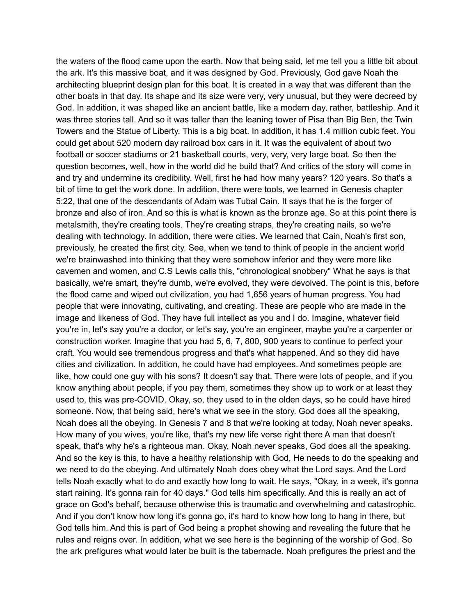the waters of the flood came upon the earth. Now that being said, let me tell you a little bit about the ark. It's this massive boat, and it was designed by God. Previously, God gave Noah the architecting blueprint design plan for this boat. It is created in a way that was different than the other boats in that day. Its shape and its size were very, very unusual, but they were decreed by God. In addition, it was shaped like an ancient battle, like a modern day, rather, battleship. And it was three stories tall. And so it was taller than the leaning tower of Pisa than Big Ben, the Twin Towers and the Statue of Liberty. This is a big boat. In addition, it has 1.4 million cubic feet. You could get about 520 modern day railroad box cars in it. It was the equivalent of about two football or soccer stadiums or 21 basketball courts, very, very, very large boat. So then the question becomes, well, how in the world did he build that? And critics of the story will come in and try and undermine its credibility. Well, first he had how many years? 120 years. So that's a bit of time to get the work done. In addition, there were tools, we learned in Genesis chapter 5:22, that one of the descendants of Adam was Tubal Cain. It says that he is the forger of bronze and also of iron. And so this is what is known as the bronze age. So at this point there is metalsmith, they're creating tools. They're creating straps, they're creating nails, so we're dealing with technology. In addition, there were cities. We learned that Cain, Noah's first son, previously, he created the first city. See, when we tend to think of people in the ancient world we're brainwashed into thinking that they were somehow inferior and they were more like cavemen and women, and C.S Lewis calls this, "chronological snobbery" What he says is that basically, we're smart, they're dumb, we're evolved, they were devolved. The point is this, before the flood came and wiped out civilization, you had 1,656 years of human progress. You had people that were innovating, cultivating, and creating. These are people who are made in the image and likeness of God. They have full intellect as you and I do. Imagine, whatever field you're in, let's say you're a doctor, or let's say, you're an engineer, maybe you're a carpenter or construction worker. Imagine that you had 5, 6, 7, 800, 900 years to continue to perfect your craft. You would see tremendous progress and that's what happened. And so they did have cities and civilization. In addition, he could have had employees. And sometimes people are like, how could one guy with his sons? It doesn't say that. There were lots of people, and if you know anything about people, if you pay them, sometimes they show up to work or at least they used to, this was pre-COVID. Okay, so, they used to in the olden days, so he could have hired someone. Now, that being said, here's what we see in the story. God does all the speaking, Noah does all the obeying. In Genesis 7 and 8 that we're looking at today, Noah never speaks. How many of you wives, you're like, that's my new life verse right there A man that doesn't speak, that's why he's a righteous man. Okay, Noah never speaks, God does all the speaking. And so the key is this, to have a healthy relationship with God, He needs to do the speaking and we need to do the obeying. And ultimately Noah does obey what the Lord says. And the Lord tells Noah exactly what to do and exactly how long to wait. He says, "Okay, in a week, it's gonna start raining. It's gonna rain for 40 days." God tells him specifically. And this is really an act of grace on God's behalf, because otherwise this is traumatic and overwhelming and catastrophic. And if you don't know how long it's gonna go, it's hard to know how long to hang in there, but God tells him. And this is part of God being a prophet showing and revealing the future that he rules and reigns over. In addition, what we see here is the beginning of the worship of God. So the ark prefigures what would later be built is the tabernacle. Noah prefigures the priest and the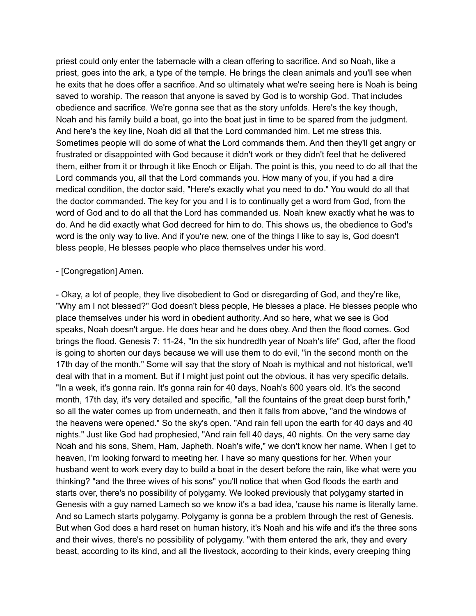priest could only enter the tabernacle with a clean offering to sacrifice. And so Noah, like a priest, goes into the ark, a type of the temple. He brings the clean animals and you'll see when he exits that he does offer a sacrifice. And so ultimately what we're seeing here is Noah is being saved to worship. The reason that anyone is saved by God is to worship God. That includes obedience and sacrifice. We're gonna see that as the story unfolds. Here's the key though, Noah and his family build a boat, go into the boat just in time to be spared from the judgment. And here's the key line, Noah did all that the Lord commanded him. Let me stress this. Sometimes people will do some of what the Lord commands them. And then they'll get angry or frustrated or disappointed with God because it didn't work or they didn't feel that he delivered them, either from it or through it like Enoch or Elijah. The point is this, you need to do all that the Lord commands you, all that the Lord commands you. How many of you, if you had a dire medical condition, the doctor said, "Here's exactly what you need to do." You would do all that the doctor commanded. The key for you and I is to continually get a word from God, from the word of God and to do all that the Lord has commanded us. Noah knew exactly what he was to do. And he did exactly what God decreed for him to do. This shows us, the obedience to God's word is the only way to live. And if you're new, one of the things I like to say is, God doesn't bless people, He blesses people who place themselves under his word.

#### - [Congregation] Amen.

- Okay, a lot of people, they live disobedient to God or disregarding of God, and they're like, "Why am I not blessed?" God doesn't bless people, He blesses a place. He blesses people who place themselves under his word in obedient authority. And so here, what we see is God speaks, Noah doesn't argue. He does hear and he does obey. And then the flood comes. God brings the flood. Genesis 7: 11-24, "In the six hundredth year of Noah's life" God, after the flood is going to shorten our days because we will use them to do evil, "in the second month on the 17th day of the month." Some will say that the story of Noah is mythical and not historical, we'll deal with that in a moment. But if I might just point out the obvious, it has very specific details. "In a week, it's gonna rain. It's gonna rain for 40 days, Noah's 600 years old. It's the second month, 17th day, it's very detailed and specific, "all the fountains of the great deep burst forth," so all the water comes up from underneath, and then it falls from above, "and the windows of the heavens were opened." So the sky's open. "And rain fell upon the earth for 40 days and 40 nights." Just like God had prophesied, "And rain fell 40 days, 40 nights. On the very same day Noah and his sons, Shem, Ham, Japheth. Noah's wife," we don't know her name. When I get to heaven, I'm looking forward to meeting her. I have so many questions for her. When your husband went to work every day to build a boat in the desert before the rain, like what were you thinking? "and the three wives of his sons" you'll notice that when God floods the earth and starts over, there's no possibility of polygamy. We looked previously that polygamy started in Genesis with a guy named Lamech so we know it's a bad idea, 'cause his name is literally lame. And so Lamech starts polygamy. Polygamy is gonna be a problem through the rest of Genesis. But when God does a hard reset on human history, it's Noah and his wife and it's the three sons and their wives, there's no possibility of polygamy. "with them entered the ark, they and every beast, according to its kind, and all the livestock, according to their kinds, every creeping thing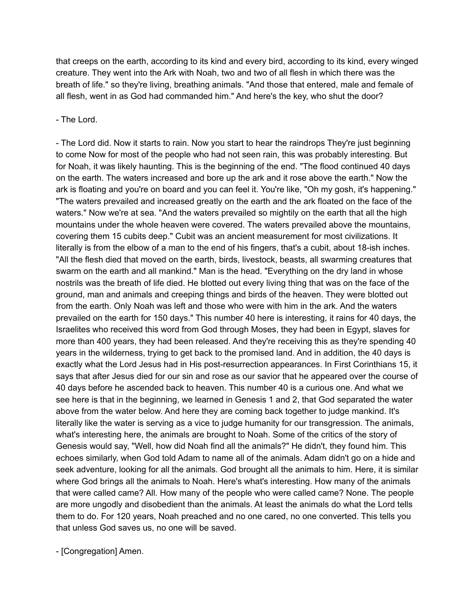that creeps on the earth, according to its kind and every bird, according to its kind, every winged creature. They went into the Ark with Noah, two and two of all flesh in which there was the breath of life." so they're living, breathing animals. "And those that entered, male and female of all flesh, went in as God had commanded him." And here's the key, who shut the door?

- The Lord.

- The Lord did. Now it starts to rain. Now you start to hear the raindrops They're just beginning to come Now for most of the people who had not seen rain, this was probably interesting. But for Noah, it was likely haunting. This is the beginning of the end. "The flood continued 40 days on the earth. The waters increased and bore up the ark and it rose above the earth." Now the ark is floating and you're on board and you can feel it. You're like, "Oh my gosh, it's happening." "The waters prevailed and increased greatly on the earth and the ark floated on the face of the waters." Now we're at sea. "And the waters prevailed so mightily on the earth that all the high mountains under the whole heaven were covered. The waters prevailed above the mountains, covering them 15 cubits deep." Cubit was an ancient measurement for most civilizations. It literally is from the elbow of a man to the end of his fingers, that's a cubit, about 18-ish inches. "All the flesh died that moved on the earth, birds, livestock, beasts, all swarming creatures that swarm on the earth and all mankind." Man is the head. "Everything on the dry land in whose nostrils was the breath of life died. He blotted out every living thing that was on the face of the ground, man and animals and creeping things and birds of the heaven. They were blotted out from the earth. Only Noah was left and those who were with him in the ark. And the waters prevailed on the earth for 150 days." This number 40 here is interesting, it rains for 40 days, the Israelites who received this word from God through Moses, they had been in Egypt, slaves for more than 400 years, they had been released. And they're receiving this as they're spending 40 years in the wilderness, trying to get back to the promised land. And in addition, the 40 days is exactly what the Lord Jesus had in His post-resurrection appearances. In First Corinthians 15, it says that after Jesus died for our sin and rose as our savior that he appeared over the course of 40 days before he ascended back to heaven. This number 40 is a curious one. And what we see here is that in the beginning, we learned in Genesis 1 and 2, that God separated the water above from the water below. And here they are coming back together to judge mankind. It's literally like the water is serving as a vice to judge humanity for our transgression. The animals, what's interesting here, the animals are brought to Noah. Some of the critics of the story of Genesis would say, "Well, how did Noah find all the animals?" He didn't, they found him. This echoes similarly, when God told Adam to name all of the animals. Adam didn't go on a hide and seek adventure, looking for all the animals. God brought all the animals to him. Here, it is similar where God brings all the animals to Noah. Here's what's interesting. How many of the animals that were called came? All. How many of the people who were called came? None. The people are more ungodly and disobedient than the animals. At least the animals do what the Lord tells them to do. For 120 years, Noah preached and no one cared, no one converted. This tells you that unless God saves us, no one will be saved.

- [Congregation] Amen.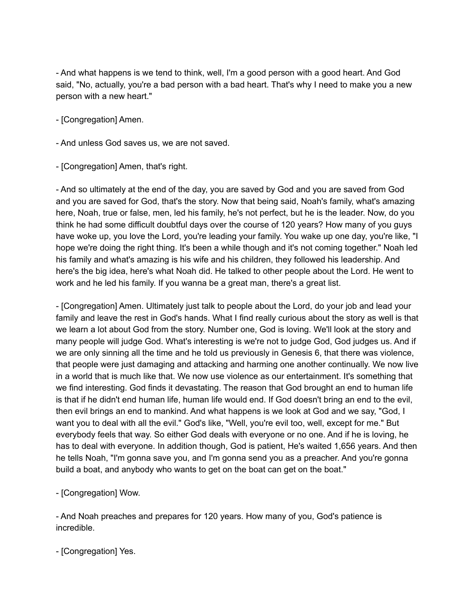- And what happens is we tend to think, well, I'm a good person with a good heart. And God said, "No, actually, you're a bad person with a bad heart. That's why I need to make you a new person with a new heart."

- [Congregation] Amen.

- And unless God saves us, we are not saved.

- [Congregation] Amen, that's right.

- And so ultimately at the end of the day, you are saved by God and you are saved from God and you are saved for God, that's the story. Now that being said, Noah's family, what's amazing here, Noah, true or false, men, led his family, he's not perfect, but he is the leader. Now, do you think he had some difficult doubtful days over the course of 120 years? How many of you guys have woke up, you love the Lord, you're leading your family. You wake up one day, you're like, "I hope we're doing the right thing. It's been a while though and it's not coming together." Noah led his family and what's amazing is his wife and his children, they followed his leadership. And here's the big idea, here's what Noah did. He talked to other people about the Lord. He went to work and he led his family. If you wanna be a great man, there's a great list.

- [Congregation] Amen. Ultimately just talk to people about the Lord, do your job and lead your family and leave the rest in God's hands. What I find really curious about the story as well is that we learn a lot about God from the story. Number one, God is loving. We'll look at the story and many people will judge God. What's interesting is we're not to judge God, God judges us. And if we are only sinning all the time and he told us previously in Genesis 6, that there was violence, that people were just damaging and attacking and harming one another continually. We now live in a world that is much like that. We now use violence as our entertainment. It's something that we find interesting. God finds it devastating. The reason that God brought an end to human life is that if he didn't end human life, human life would end. If God doesn't bring an end to the evil, then evil brings an end to mankind. And what happens is we look at God and we say, "God, I want you to deal with all the evil." God's like, "Well, you're evil too, well, except for me." But everybody feels that way. So either God deals with everyone or no one. And if he is loving, he has to deal with everyone. In addition though, God is patient, He's waited 1,656 years. And then he tells Noah, "I'm gonna save you, and I'm gonna send you as a preacher. And you're gonna build a boat, and anybody who wants to get on the boat can get on the boat."

- [Congregation] Wow.

- And Noah preaches and prepares for 120 years. How many of you, God's patience is incredible.

- [Congregation] Yes.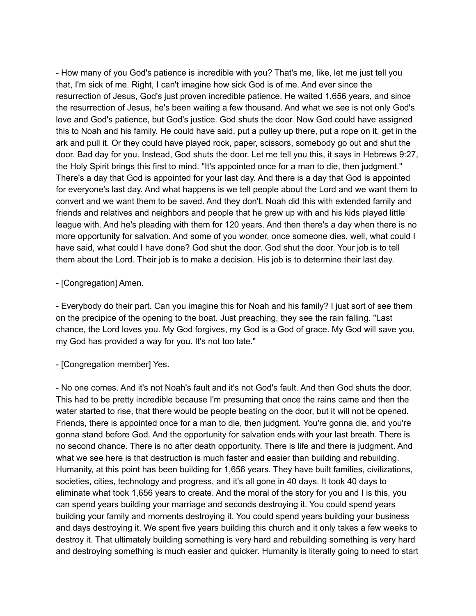- How many of you God's patience is incredible with you? That's me, like, let me just tell you that, I'm sick of me. Right, I can't imagine how sick God is of me. And ever since the resurrection of Jesus, God's just proven incredible patience. He waited 1,656 years, and since the resurrection of Jesus, he's been waiting a few thousand. And what we see is not only God's love and God's patience, but God's justice. God shuts the door. Now God could have assigned this to Noah and his family. He could have said, put a pulley up there, put a rope on it, get in the ark and pull it. Or they could have played rock, paper, scissors, somebody go out and shut the door. Bad day for you. Instead, God shuts the door. Let me tell you this, it says in Hebrews 9:27, the Holy Spirit brings this first to mind. "It's appointed once for a man to die, then judgment." There's a day that God is appointed for your last day. And there is a day that God is appointed for everyone's last day. And what happens is we tell people about the Lord and we want them to convert and we want them to be saved. And they don't. Noah did this with extended family and friends and relatives and neighbors and people that he grew up with and his kids played little league with. And he's pleading with them for 120 years. And then there's a day when there is no more opportunity for salvation. And some of you wonder, once someone dies, well, what could I have said, what could I have done? God shut the door. God shut the door. Your job is to tell them about the Lord. Their job is to make a decision. His job is to determine their last day.

- [Congregation] Amen.

- Everybody do their part. Can you imagine this for Noah and his family? I just sort of see them on the precipice of the opening to the boat. Just preaching, they see the rain falling. "Last chance, the Lord loves you. My God forgives, my God is a God of grace. My God will save you, my God has provided a way for you. It's not too late."

- [Congregation member] Yes.

- No one comes. And it's not Noah's fault and it's not God's fault. And then God shuts the door. This had to be pretty incredible because I'm presuming that once the rains came and then the water started to rise, that there would be people beating on the door, but it will not be opened. Friends, there is appointed once for a man to die, then judgment. You're gonna die, and you're gonna stand before God. And the opportunity for salvation ends with your last breath. There is no second chance. There is no after death opportunity. There is life and there is judgment. And what we see here is that destruction is much faster and easier than building and rebuilding. Humanity, at this point has been building for 1,656 years. They have built families, civilizations, societies, cities, technology and progress, and it's all gone in 40 days. It took 40 days to eliminate what took 1,656 years to create. And the moral of the story for you and I is this, you can spend years building your marriage and seconds destroying it. You could spend years building your family and moments destroying it. You could spend years building your business and days destroying it. We spent five years building this church and it only takes a few weeks to destroy it. That ultimately building something is very hard and rebuilding something is very hard and destroying something is much easier and quicker. Humanity is literally going to need to start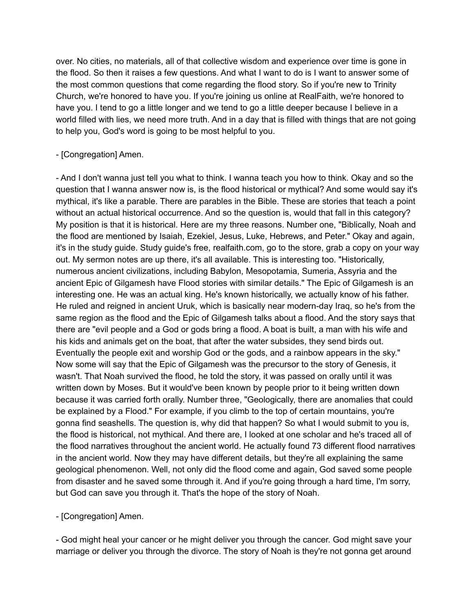over. No cities, no materials, all of that collective wisdom and experience over time is gone in the flood. So then it raises a few questions. And what I want to do is I want to answer some of the most common questions that come regarding the flood story. So if you're new to Trinity Church, we're honored to have you. If you're joining us online at RealFaith, we're honored to have you. I tend to go a little longer and we tend to go a little deeper because I believe in a world filled with lies, we need more truth. And in a day that is filled with things that are not going to help you, God's word is going to be most helpful to you.

## - [Congregation] Amen.

- And I don't wanna just tell you what to think. I wanna teach you how to think. Okay and so the question that I wanna answer now is, is the flood historical or mythical? And some would say it's mythical, it's like a parable. There are parables in the Bible. These are stories that teach a point without an actual historical occurrence. And so the question is, would that fall in this category? My position is that it is historical. Here are my three reasons. Number one, "Biblically, Noah and the flood are mentioned by Isaiah, Ezekiel, Jesus, Luke, Hebrews, and Peter." Okay and again, it's in the study guide. Study guide's free, realfaith.com, go to the store, grab a copy on your way out. My sermon notes are up there, it's all available. This is interesting too. "Historically, numerous ancient civilizations, including Babylon, Mesopotamia, Sumeria, Assyria and the ancient Epic of Gilgamesh have Flood stories with similar details." The Epic of Gilgamesh is an interesting one. He was an actual king. He's known historically, we actually know of his father. He ruled and reigned in ancient Uruk, which is basically near modern-day Iraq, so he's from the same region as the flood and the Epic of Gilgamesh talks about a flood. And the story says that there are "evil people and a God or gods bring a flood. A boat is built, a man with his wife and his kids and animals get on the boat, that after the water subsides, they send birds out. Eventually the people exit and worship God or the gods, and a rainbow appears in the sky." Now some will say that the Epic of Gilgamesh was the precursor to the story of Genesis, it wasn't. That Noah survived the flood, he told the story, it was passed on orally until it was written down by Moses. But it would've been known by people prior to it being written down because it was carried forth orally. Number three, "Geologically, there are anomalies that could be explained by a Flood." For example, if you climb to the top of certain mountains, you're gonna find seashells. The question is, why did that happen? So what I would submit to you is, the flood is historical, not mythical. And there are, I looked at one scholar and he's traced all of the flood narratives throughout the ancient world. He actually found 73 different flood narratives in the ancient world. Now they may have different details, but they're all explaining the same geological phenomenon. Well, not only did the flood come and again, God saved some people from disaster and he saved some through it. And if you're going through a hard time, I'm sorry, but God can save you through it. That's the hope of the story of Noah.

- [Congregation] Amen.

- God might heal your cancer or he might deliver you through the cancer. God might save your marriage or deliver you through the divorce. The story of Noah is they're not gonna get around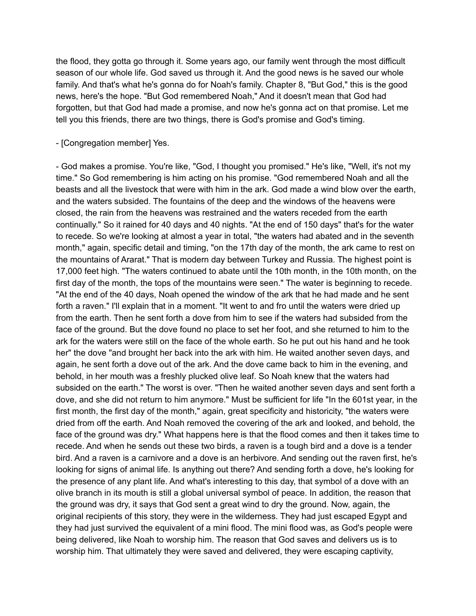the flood, they gotta go through it. Some years ago, our family went through the most difficult season of our whole life. God saved us through it. And the good news is he saved our whole family. And that's what he's gonna do for Noah's family. Chapter 8, "But God," this is the good news, here's the hope. "But God remembered Noah," And it doesn't mean that God had forgotten, but that God had made a promise, and now he's gonna act on that promise. Let me tell you this friends, there are two things, there is God's promise and God's timing.

- [Congregation member] Yes.

- God makes a promise. You're like, "God, I thought you promised." He's like, "Well, it's not my time." So God remembering is him acting on his promise. "God remembered Noah and all the beasts and all the livestock that were with him in the ark. God made a wind blow over the earth, and the waters subsided. The fountains of the deep and the windows of the heavens were closed, the rain from the heavens was restrained and the waters receded from the earth continually." So it rained for 40 days and 40 nights. "At the end of 150 days" that's for the water to recede. So we're looking at almost a year in total, "the waters had abated and in the seventh month," again, specific detail and timing, "on the 17th day of the month, the ark came to rest on the mountains of Ararat." That is modern day between Turkey and Russia. The highest point is 17,000 feet high. "The waters continued to abate until the 10th month, in the 10th month, on the first day of the month, the tops of the mountains were seen." The water is beginning to recede. "At the end of the 40 days, Noah opened the window of the ark that he had made and he sent forth a raven." I'll explain that in a moment. "It went to and fro until the waters were dried up from the earth. Then he sent forth a dove from him to see if the waters had subsided from the face of the ground. But the dove found no place to set her foot, and she returned to him to the ark for the waters were still on the face of the whole earth. So he put out his hand and he took her" the dove "and brought her back into the ark with him. He waited another seven days, and again, he sent forth a dove out of the ark. And the dove came back to him in the evening, and behold, in her mouth was a freshly plucked olive leaf. So Noah knew that the waters had subsided on the earth." The worst is over. "Then he waited another seven days and sent forth a dove, and she did not return to him anymore." Must be sufficient for life "In the 601st year, in the first month, the first day of the month," again, great specificity and historicity, "the waters were dried from off the earth. And Noah removed the covering of the ark and looked, and behold, the face of the ground was dry." What happens here is that the flood comes and then it takes time to recede. And when he sends out these two birds, a raven is a tough bird and a dove is a tender bird. And a raven is a carnivore and a dove is an herbivore. And sending out the raven first, he's looking for signs of animal life. Is anything out there? And sending forth a dove, he's looking for the presence of any plant life. And what's interesting to this day, that symbol of a dove with an olive branch in its mouth is still a global universal symbol of peace. In addition, the reason that the ground was dry, it says that God sent a great wind to dry the ground. Now, again, the original recipients of this story, they were in the wilderness. They had just escaped Egypt and they had just survived the equivalent of a mini flood. The mini flood was, as God's people were being delivered, like Noah to worship him. The reason that God saves and delivers us is to worship him. That ultimately they were saved and delivered, they were escaping captivity,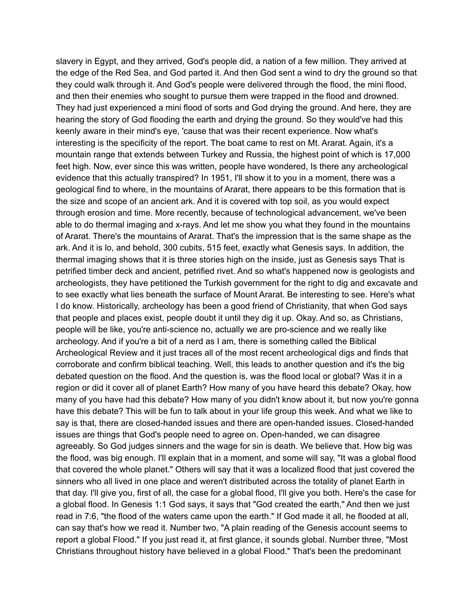slavery in Egypt, and they arrived, God's people did, a nation of a few million. They arrived at the edge of the Red Sea, and God parted it. And then God sent a wind to dry the ground so that they could walk through it. And God's people were delivered through the flood, the mini flood, and then their enemies who sought to pursue them were trapped in the flood and drowned. They had just experienced a mini flood of sorts and God drying the ground. And here, they are hearing the story of God flooding the earth and drying the ground. So they would've had this keenly aware in their mind's eye, 'cause that was their recent experience. Now what's interesting is the specificity of the report. The boat came to rest on Mt. Ararat. Again, it's a mountain range that extends between Turkey and Russia, the highest point of which is 17,000 feet high. Now, ever since this was written, people have wondered, Is there any archeological evidence that this actually transpired? In 1951, I'll show it to you in a moment, there was a geological find to where, in the mountains of Ararat, there appears to be this formation that is the size and scope of an ancient ark. And it is covered with top soil, as you would expect through erosion and time. More recently, because of technological advancement, we've been able to do thermal imaging and x-rays. And let me show you what they found in the mountains of Ararat. There's the mountains of Ararat. That's the impression that is the same shape as the ark. And it is lo, and behold, 300 cubits, 515 feet, exactly what Genesis says. In addition, the thermal imaging shows that it is three stories high on the inside, just as Genesis says That is petrified timber deck and ancient, petrified rivet. And so what's happened now is geologists and archeologists, they have petitioned the Turkish government for the right to dig and excavate and to see exactly what lies beneath the surface of Mount Ararat. Be interesting to see. Here's what I do know. Historically, archeology has been a good friend of Christianity, that when God says that people and places exist, people doubt it until they dig it up. Okay. And so, as Christians, people will be like, you're anti-science no, actually we are pro-science and we really like archeology. And if you're a bit of a nerd as I am, there is something called the Biblical Archeological Review and it just traces all of the most recent archeological digs and finds that corroborate and confirm biblical teaching. Well, this leads to another question and it's the big debated question on the flood. And the question is, was the flood local or global? Was it in a region or did it cover all of planet Earth? How many of you have heard this debate? Okay, how many of you have had this debate? How many of you didn't know about it, but now you're gonna have this debate? This will be fun to talk about in your life group this week. And what we like to say is that, there are closed-handed issues and there are open-handed issues. Closed-handed issues are things that God's people need to agree on. Open-handed, we can disagree agreeably. So God judges sinners and the wage for sin is death. We believe that. How big was the flood, was big enough. I'll explain that in a moment, and some will say, "It was a global flood that covered the whole planet." Others will say that it was a localized flood that just covered the sinners who all lived in one place and weren't distributed across the totality of planet Earth in that day. I'll give you, first of all, the case for a global flood, I'll give you both. Here's the case for a global flood. In Genesis 1:1 God says, it says that "God created the earth," And then we just read in 7:6, "the flood of the waters came upon the earth." If God made it all, he flooded at all, can say that's how we read it. Number two, "A plain reading of the Genesis account seems to report a global Flood." If you just read it, at first glance, it sounds global. Number three, "Most Christians throughout history have believed in a global Flood." That's been the predominant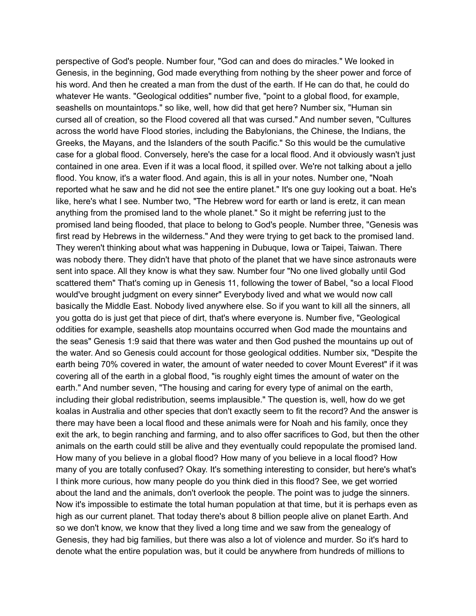perspective of God's people. Number four, "God can and does do miracles." We looked in Genesis, in the beginning, God made everything from nothing by the sheer power and force of his word. And then he created a man from the dust of the earth. If He can do that, he could do whatever He wants. "Geological oddities" number five, "point to a global flood, for example, seashells on mountaintops." so like, well, how did that get here? Number six, "Human sin cursed all of creation, so the Flood covered all that was cursed." And number seven, "Cultures across the world have Flood stories, including the Babylonians, the Chinese, the Indians, the Greeks, the Mayans, and the Islanders of the south Pacific." So this would be the cumulative case for a global flood. Conversely, here's the case for a local flood. And it obviously wasn't just contained in one area. Even if it was a local flood, it spilled over. We're not talking about a jello flood. You know, it's a water flood. And again, this is all in your notes. Number one, "Noah reported what he saw and he did not see the entire planet." It's one guy looking out a boat. He's like, here's what I see. Number two, "The Hebrew word for earth or land is eretz, it can mean anything from the promised land to the whole planet." So it might be referring just to the promised land being flooded, that place to belong to God's people. Number three, "Genesis was first read by Hebrews in the wilderness." And they were trying to get back to the promised land. They weren't thinking about what was happening in Dubuque, Iowa or Taipei, Taiwan. There was nobody there. They didn't have that photo of the planet that we have since astronauts were sent into space. All they know is what they saw. Number four "No one lived globally until God scattered them" That's coming up in Genesis 11, following the tower of Babel, "so a local Flood would've brought judgment on every sinner" Everybody lived and what we would now call basically the Middle East. Nobody lived anywhere else. So if you want to kill all the sinners, all you gotta do is just get that piece of dirt, that's where everyone is. Number five, "Geological oddities for example, seashells atop mountains occurred when God made the mountains and the seas" Genesis 1:9 said that there was water and then God pushed the mountains up out of the water. And so Genesis could account for those geological oddities. Number six, "Despite the earth being 70% covered in water, the amount of water needed to cover Mount Everest" if it was covering all of the earth in a global flood, "is roughly eight times the amount of water on the earth." And number seven, "The housing and caring for every type of animal on the earth, including their global redistribution, seems implausible." The question is, well, how do we get koalas in Australia and other species that don't exactly seem to fit the record? And the answer is there may have been a local flood and these animals were for Noah and his family, once they exit the ark, to begin ranching and farming, and to also offer sacrifices to God, but then the other animals on the earth could still be alive and they eventually could repopulate the promised land. How many of you believe in a global flood? How many of you believe in a local flood? How many of you are totally confused? Okay. It's something interesting to consider, but here's what's I think more curious, how many people do you think died in this flood? See, we get worried about the land and the animals, don't overlook the people. The point was to judge the sinners. Now it's impossible to estimate the total human population at that time, but it is perhaps even as high as our current planet. That today there's about 8 billion people alive on planet Earth. And so we don't know, we know that they lived a long time and we saw from the genealogy of Genesis, they had big families, but there was also a lot of violence and murder. So it's hard to denote what the entire population was, but it could be anywhere from hundreds of millions to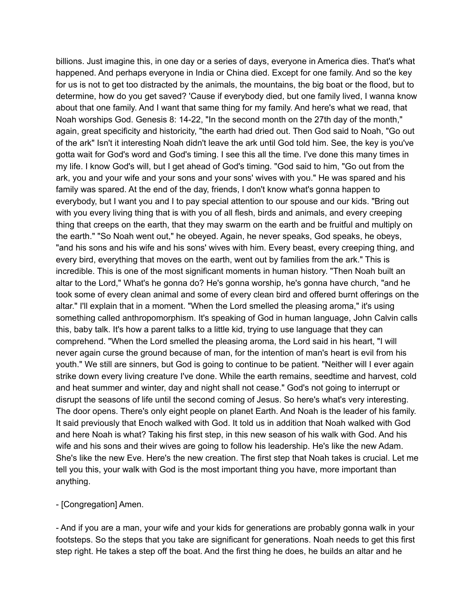billions. Just imagine this, in one day or a series of days, everyone in America dies. That's what happened. And perhaps everyone in India or China died. Except for one family. And so the key for us is not to get too distracted by the animals, the mountains, the big boat or the flood, but to determine, how do you get saved? 'Cause if everybody died, but one family lived, I wanna know about that one family. And I want that same thing for my family. And here's what we read, that Noah worships God. Genesis 8: 14-22, "In the second month on the 27th day of the month," again, great specificity and historicity, "the earth had dried out. Then God said to Noah, "Go out of the ark" Isn't it interesting Noah didn't leave the ark until God told him. See, the key is you've gotta wait for God's word and God's timing. I see this all the time. I've done this many times in my life. I know God's will, but I get ahead of God's timing. "God said to him, "Go out from the ark, you and your wife and your sons and your sons' wives with you." He was spared and his family was spared. At the end of the day, friends, I don't know what's gonna happen to everybody, but I want you and I to pay special attention to our spouse and our kids. "Bring out with you every living thing that is with you of all flesh, birds and animals, and every creeping thing that creeps on the earth, that they may swarm on the earth and be fruitful and multiply on the earth." "So Noah went out," he obeyed. Again, he never speaks, God speaks, he obeys, "and his sons and his wife and his sons' wives with him. Every beast, every creeping thing, and every bird, everything that moves on the earth, went out by families from the ark." This is incredible. This is one of the most significant moments in human history. "Then Noah built an altar to the Lord," What's he gonna do? He's gonna worship, he's gonna have church, "and he took some of every clean animal and some of every clean bird and offered burnt offerings on the altar." I'll explain that in a moment. "When the Lord smelled the pleasing aroma," it's using something called anthropomorphism. It's speaking of God in human language, John Calvin calls this, baby talk. It's how a parent talks to a little kid, trying to use language that they can comprehend. "When the Lord smelled the pleasing aroma, the Lord said in his heart, "I will never again curse the ground because of man, for the intention of man's heart is evil from his youth." We still are sinners, but God is going to continue to be patient. "Neither will I ever again strike down every living creature I've done. While the earth remains, seedtime and harvest, cold and heat summer and winter, day and night shall not cease." God's not going to interrupt or disrupt the seasons of life until the second coming of Jesus. So here's what's very interesting. The door opens. There's only eight people on planet Earth. And Noah is the leader of his family. It said previously that Enoch walked with God. It told us in addition that Noah walked with God and here Noah is what? Taking his first step, in this new season of his walk with God. And his wife and his sons and their wives are going to follow his leadership. He's like the new Adam. She's like the new Eve. Here's the new creation. The first step that Noah takes is crucial. Let me tell you this, your walk with God is the most important thing you have, more important than anything.

- [Congregation] Amen.

- And if you are a man, your wife and your kids for generations are probably gonna walk in your footsteps. So the steps that you take are significant for generations. Noah needs to get this first step right. He takes a step off the boat. And the first thing he does, he builds an altar and he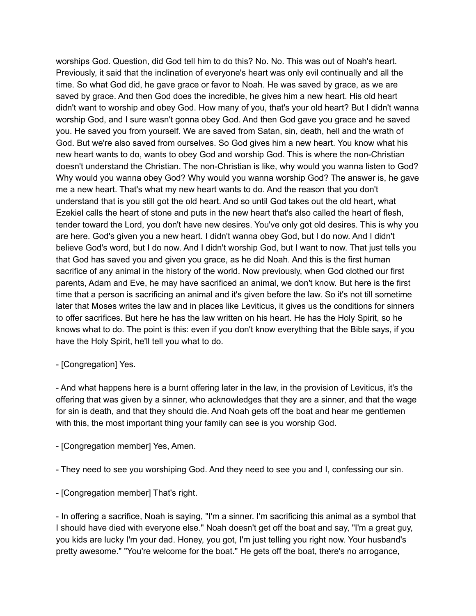worships God. Question, did God tell him to do this? No. No. This was out of Noah's heart. Previously, it said that the inclination of everyone's heart was only evil continually and all the time. So what God did, he gave grace or favor to Noah. He was saved by grace, as we are saved by grace. And then God does the incredible, he gives him a new heart. His old heart didn't want to worship and obey God. How many of you, that's your old heart? But I didn't wanna worship God, and I sure wasn't gonna obey God. And then God gave you grace and he saved you. He saved you from yourself. We are saved from Satan, sin, death, hell and the wrath of God. But we're also saved from ourselves. So God gives him a new heart. You know what his new heart wants to do, wants to obey God and worship God. This is where the non-Christian doesn't understand the Christian. The non-Christian is like, why would you wanna listen to God? Why would you wanna obey God? Why would you wanna worship God? The answer is, he gave me a new heart. That's what my new heart wants to do. And the reason that you don't understand that is you still got the old heart. And so until God takes out the old heart, what Ezekiel calls the heart of stone and puts in the new heart that's also called the heart of flesh, tender toward the Lord, you don't have new desires. You've only got old desires. This is why you are here. God's given you a new heart. I didn't wanna obey God, but I do now. And I didn't believe God's word, but I do now. And I didn't worship God, but I want to now. That just tells you that God has saved you and given you grace, as he did Noah. And this is the first human sacrifice of any animal in the history of the world. Now previously, when God clothed our first parents, Adam and Eve, he may have sacrificed an animal, we don't know. But here is the first time that a person is sacrificing an animal and it's given before the law. So it's not till sometime later that Moses writes the law and in places like Leviticus, it gives us the conditions for sinners to offer sacrifices. But here he has the law written on his heart. He has the Holy Spirit, so he knows what to do. The point is this: even if you don't know everything that the Bible says, if you have the Holy Spirit, he'll tell you what to do.

#### - [Congregation] Yes.

- And what happens here is a burnt offering later in the law, in the provision of Leviticus, it's the offering that was given by a sinner, who acknowledges that they are a sinner, and that the wage for sin is death, and that they should die. And Noah gets off the boat and hear me gentlemen with this, the most important thing your family can see is you worship God.

- [Congregation member] Yes, Amen.
- They need to see you worshiping God. And they need to see you and I, confessing our sin.
- [Congregation member] That's right.

- In offering a sacrifice, Noah is saying, "I'm a sinner. I'm sacrificing this animal as a symbol that I should have died with everyone else." Noah doesn't get off the boat and say, "I'm a great guy, you kids are lucky I'm your dad. Honey, you got, I'm just telling you right now. Your husband's pretty awesome." "You're welcome for the boat." He gets off the boat, there's no arrogance,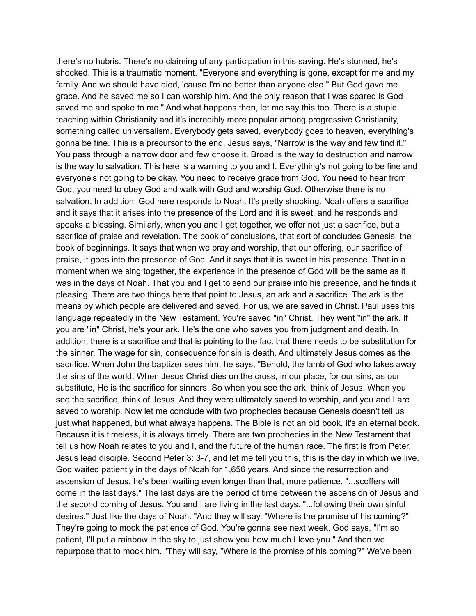there's no hubris. There's no claiming of any participation in this saving. He's stunned, he's shocked. This is a traumatic moment. "Everyone and everything is gone, except for me and my family. And we should have died, 'cause I'm no better than anyone else." But God gave me grace. And he saved me so I can worship him. And the only reason that I was spared is God saved me and spoke to me." And what happens then, let me say this too. There is a stupid teaching within Christianity and it's incredibly more popular among progressive Christianity, something called universalism. Everybody gets saved, everybody goes to heaven, everything's gonna be fine. This is a precursor to the end. Jesus says, "Narrow is the way and few find it." You pass through a narrow door and few choose it. Broad is the way to destruction and narrow is the way to salvation. This here is a warning to you and I. Everything's not going to be fine and everyone's not going to be okay. You need to receive grace from God. You need to hear from God, you need to obey God and walk with God and worship God. Otherwise there is no salvation. In addition, God here responds to Noah. It's pretty shocking. Noah offers a sacrifice and it says that it arises into the presence of the Lord and it is sweet, and he responds and speaks a blessing. Similarly, when you and I get together, we offer not just a sacrifice, but a sacrifice of praise and revelation. The book of conclusions, that sort of concludes Genesis, the book of beginnings. It says that when we pray and worship, that our offering, our sacrifice of praise, it goes into the presence of God. And it says that it is sweet in his presence. That in a moment when we sing together, the experience in the presence of God will be the same as it was in the days of Noah. That you and I get to send our praise into his presence, and he finds it pleasing. There are two things here that point to Jesus, an ark and a sacrifice. The ark is the means by which people are delivered and saved. For us, we are saved in Christ. Paul uses this language repeatedly in the New Testament. You're saved "in" Christ. They went "in" the ark. If you are "in" Christ, he's your ark. He's the one who saves you from judgment and death. In addition, there is a sacrifice and that is pointing to the fact that there needs to be substitution for the sinner. The wage for sin, consequence for sin is death. And ultimately Jesus comes as the sacrifice. When John the baptizer sees him, he says, "Behold, the lamb of God who takes away the sins of the world. When Jesus Christ dies on the cross, in our place, for our sins, as our substitute, He is the sacrifice for sinners. So when you see the ark, think of Jesus. When you see the sacrifice, think of Jesus. And they were ultimately saved to worship, and you and I are saved to worship. Now let me conclude with two prophecies because Genesis doesn't tell us just what happened, but what always happens. The Bible is not an old book, it's an eternal book. Because it is timeless, it is always timely. There are two prophecies in the New Testament that tell us how Noah relates to you and I, and the future of the human race. The first is from Peter, Jesus lead disciple. Second Peter 3: 3-7, and let me tell you this, this is the day in which we live. God waited patiently in the days of Noah for 1,656 years. And since the resurrection and ascension of Jesus, he's been waiting even longer than that, more patience. "...scoffers will come in the last days." The last days are the period of time between the ascension of Jesus and the second coming of Jesus. You and I are living in the last days. "...following their own sinful desires." Just like the days of Noah. "And they will say, "Where is the promise of his coming?" They're going to mock the patience of God. You're gonna see next week, God says, "I'm so patient, I'll put a rainbow in the sky to just show you how much I love you." And then we repurpose that to mock him. "They will say, "Where is the promise of his coming?" We've been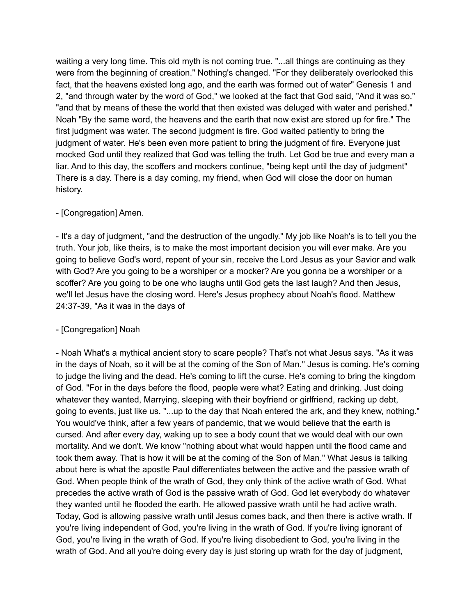waiting a very long time. This old myth is not coming true. "...all things are continuing as they were from the beginning of creation." Nothing's changed. "For they deliberately overlooked this fact, that the heavens existed long ago, and the earth was formed out of water" Genesis 1 and 2, "and through water by the word of God," we looked at the fact that God said, "And it was so." "and that by means of these the world that then existed was deluged with water and perished." Noah "By the same word, the heavens and the earth that now exist are stored up for fire." The first judgment was water. The second judgment is fire. God waited patiently to bring the judgment of water. He's been even more patient to bring the judgment of fire. Everyone just mocked God until they realized that God was telling the truth. Let God be true and every man a liar. And to this day, the scoffers and mockers continue, "being kept until the day of judgment" There is a day. There is a day coming, my friend, when God will close the door on human history.

## - [Congregation] Amen.

- It's a day of judgment, "and the destruction of the ungodly." My job like Noah's is to tell you the truth. Your job, like theirs, is to make the most important decision you will ever make. Are you going to believe God's word, repent of your sin, receive the Lord Jesus as your Savior and walk with God? Are you going to be a worshiper or a mocker? Are you gonna be a worshiper or a scoffer? Are you going to be one who laughs until God gets the last laugh? And then Jesus, we'll let Jesus have the closing word. Here's Jesus prophecy about Noah's flood. Matthew 24:37-39, "As it was in the days of

## - [Congregation] Noah

- Noah What's a mythical ancient story to scare people? That's not what Jesus says. "As it was in the days of Noah, so it will be at the coming of the Son of Man." Jesus is coming. He's coming to judge the living and the dead. He's coming to lift the curse. He's coming to bring the kingdom of God. "For in the days before the flood, people were what? Eating and drinking. Just doing whatever they wanted, Marrying, sleeping with their boyfriend or girlfriend, racking up debt, going to events, just like us. "...up to the day that Noah entered the ark, and they knew, nothing." You would've think, after a few years of pandemic, that we would believe that the earth is cursed. And after every day, waking up to see a body count that we would deal with our own mortality. And we don't. We know "nothing about what would happen until the flood came and took them away. That is how it will be at the coming of the Son of Man." What Jesus is talking about here is what the apostle Paul differentiates between the active and the passive wrath of God. When people think of the wrath of God, they only think of the active wrath of God. What precedes the active wrath of God is the passive wrath of God. God let everybody do whatever they wanted until he flooded the earth. He allowed passive wrath until he had active wrath. Today, God is allowing passive wrath until Jesus comes back, and then there is active wrath. If you're living independent of God, you're living in the wrath of God. If you're living ignorant of God, you're living in the wrath of God. If you're living disobedient to God, you're living in the wrath of God. And all you're doing every day is just storing up wrath for the day of judgment,